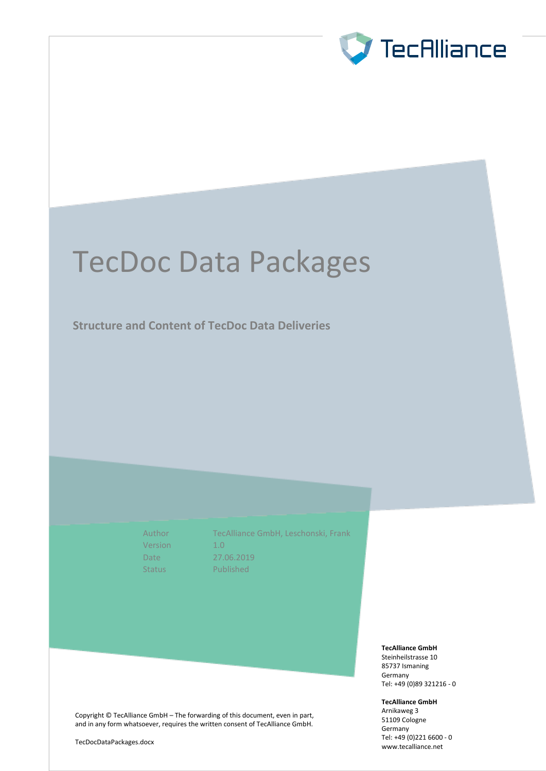

# TecDoc Data Packages

**Structure and Content of TecDoc Data Deliveries**

Version 1.0

Author TecAlliance GmbH, Leschonski, Frank Date 27.06.2019 Status Published

**TecAlliance GmbH**

Steinheilstrasse 10 85737 Ismaning Germany Tel: +49 (0)89 321216 - 0

**TecAlliance GmbH**

Arnikaweg 3 51109 Cologne Germany Tel: +49 (0)221 6600 - 0 [www.tecalliance.n](http://www.tecdoc.de/)et

Copyright © TecAlliance GmbH – The forwarding of this document, even in part, and in any form whatsoever, requires the written consent of TecAlliance GmbH.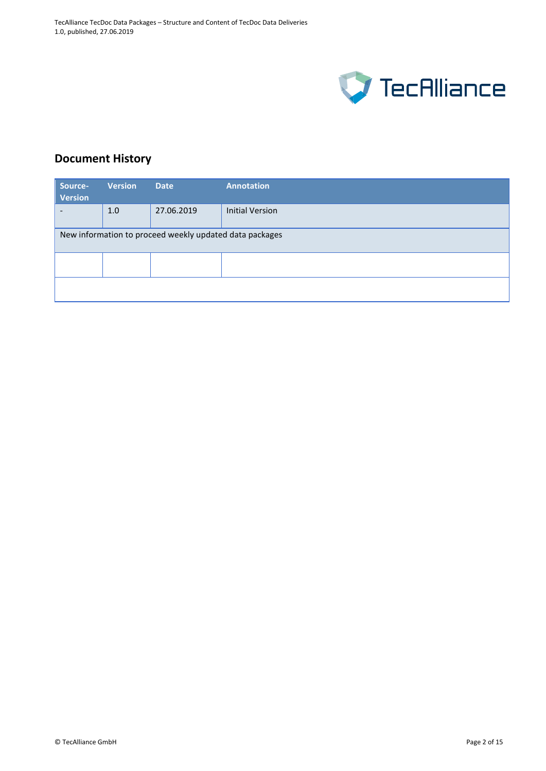

# **Document History**

| Source-<br><b>Version</b>                               | <b>Version</b> | <b>Date</b> | <b>Annotation</b>      |  |  |
|---------------------------------------------------------|----------------|-------------|------------------------|--|--|
|                                                         | 1.0            | 27.06.2019  | <b>Initial Version</b> |  |  |
| New information to proceed weekly updated data packages |                |             |                        |  |  |
|                                                         |                |             |                        |  |  |
|                                                         |                |             |                        |  |  |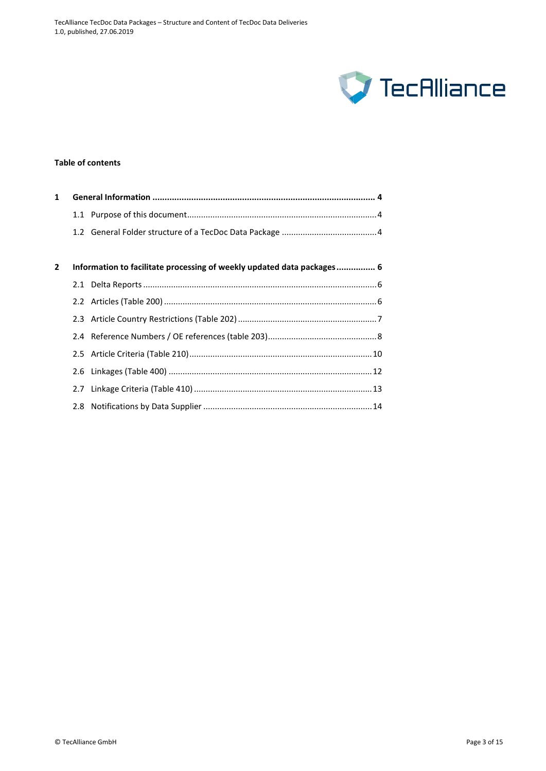

# **Table of contents**

| 1            |     |                                                                        |  |  |  |
|--------------|-----|------------------------------------------------------------------------|--|--|--|
|              |     |                                                                        |  |  |  |
|              |     |                                                                        |  |  |  |
|              |     |                                                                        |  |  |  |
| $\mathbf{2}$ |     | Information to facilitate processing of weekly updated data packages 6 |  |  |  |
|              |     |                                                                        |  |  |  |
|              |     |                                                                        |  |  |  |
|              |     |                                                                        |  |  |  |
|              |     |                                                                        |  |  |  |
|              |     |                                                                        |  |  |  |
|              |     |                                                                        |  |  |  |
|              | 2.7 |                                                                        |  |  |  |
|              |     |                                                                        |  |  |  |
|              |     |                                                                        |  |  |  |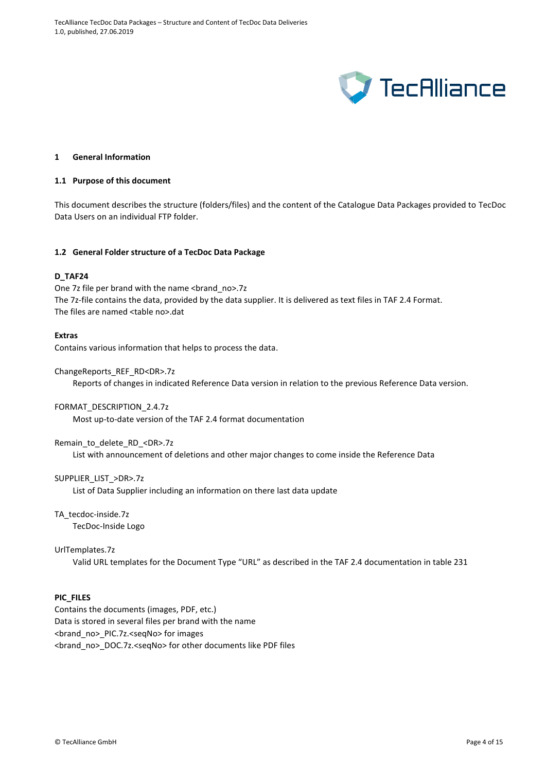

#### <span id="page-3-0"></span>**1 General Information**

#### <span id="page-3-1"></span>**1.1 Purpose of this document**

This document describes the structure (folders/files) and the content of the Catalogue Data Packages provided to TecDoc Data Users on an individual FTP folder.

#### <span id="page-3-2"></span>**1.2 General Folder structure of a TecDoc Data Package**

#### **D\_TAF24**

One 7z file per brand with the name <br />brand\_no>.7z The 7z-file contains the data, provided by the data supplier. It is delivered as text files in TAF 2.4 Format. The files are named <table no>.dat

#### **Extras**

Contains various information that helps to process the data.

ChangeReports\_REF\_RD<DR>.7z

Reports of changes in indicated Reference Data version in relation to the previous Reference Data version.

#### FORMAT\_DESCRIPTION\_2.4.7z

Most up-to-date version of the TAF 2.4 format documentation

#### Remain\_to\_delete\_RD\_<DR>.7z

List with announcement of deletions and other major changes to come inside the Reference Data

# SUPPLIER\_LIST\_>DR>.7z

List of Data Supplier including an information on there last data update

# TA\_tecdoc-inside.7z

TecDoc-Inside Logo

# UrlTemplates.7z

Valid URL templates for the Document Type "URL" as described in the TAF 2.4 documentation in table 231

### **PIC\_FILES**

Contains the documents (images, PDF, etc.) Data is stored in several files per brand with the name <brand\_no>\_PIC.7z.<seqNo> for images <brand\_no>\_DOC.7z.<seqNo> for other documents like PDF files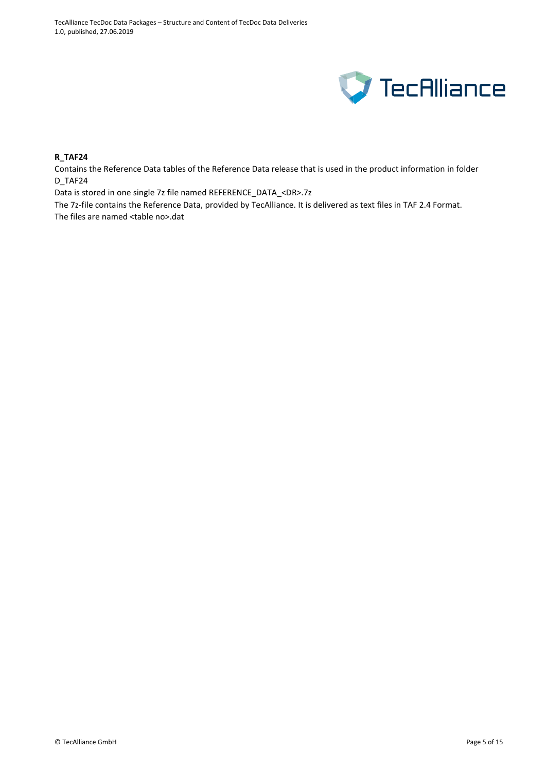

# **R\_TAF24**

Contains the Reference Data tables of the Reference Data release that is used in the product information in folder D\_TAF24

Data is stored in one single 7z file named REFERENCE\_DATA\_<DR>.7z

The 7z-file contains the Reference Data, provided by TecAlliance. It is delivered as text files in TAF 2.4 Format. The files are named <table no>.dat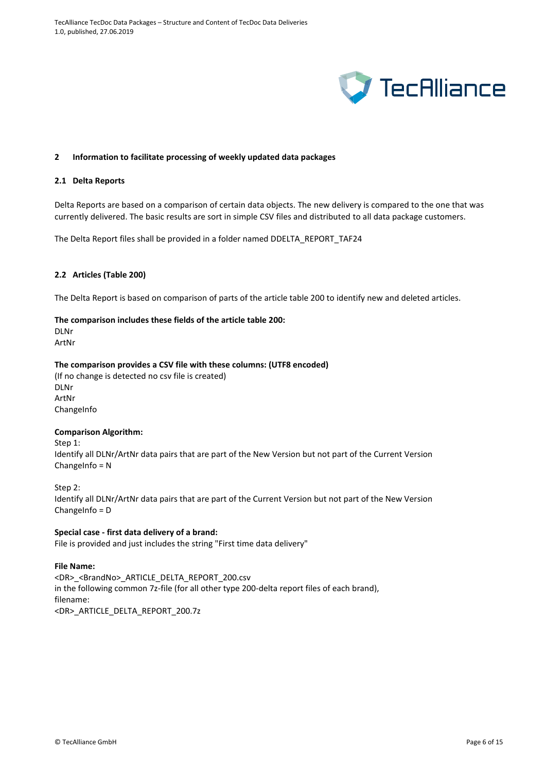

# <span id="page-5-0"></span>**2 Information to facilitate processing of weekly updated data packages**

#### <span id="page-5-1"></span>**2.1 Delta Reports**

Delta Reports are based on a comparison of certain data objects. The new delivery is compared to the one that was currently delivered. The basic results are sort in simple CSV files and distributed to all data package customers.

The Delta Report files shall be provided in a folder named DDELTA\_REPORT\_TAF24

# <span id="page-5-2"></span>**2.2 Articles (Table 200)**

The Delta Report is based on comparison of parts of the article table 200 to identify new and deleted articles.

# **The comparison includes these fields of the article table 200:**

DLNr ArtNr

# **The comparison provides a CSV file with these columns: (UTF8 encoded)**

(If no change is detected no csv file is created) DLNr ArtNr **ChangeInfo** 

#### **Comparison Algorithm:**

Step 1:

Identify all DLNr/ArtNr data pairs that are part of the New Version but not part of the Current Version ChangeInfo = N

Step 2:

Identify all DLNr/ArtNr data pairs that are part of the Current Version but not part of the New Version ChangeInfo = D

**Special case - first data delivery of a brand:** File is provided and just includes the string "First time data delivery"

# **File Name:**

<DR>\_<BrandNo>\_ARTICLE\_DELTA\_REPORT\_200.csv in the following common 7z-file (for all other type 200-delta report files of each brand), filename: <DR>\_ARTICLE\_DELTA\_REPORT\_200.7z

© TecAlliance GmbH Page 6 of 15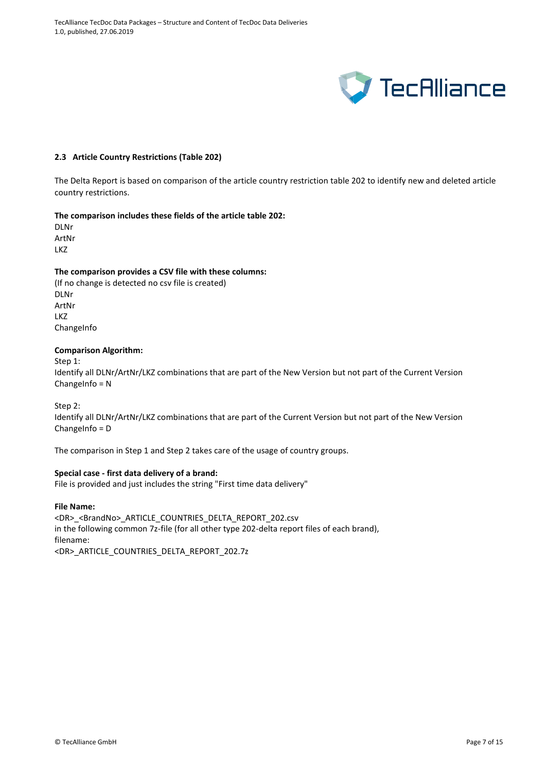

#### <span id="page-6-0"></span>**2.3 Article Country Restrictions (Table 202)**

The Delta Report is based on comparison of the article country restriction table 202 to identify new and deleted article country restrictions.

#### **The comparison includes these fields of the article table 202:**

DLNr ArtNr LKZ

#### **The comparison provides a CSV file with these columns:**

(If no change is detected no csv file is created) DLNr ArtNr LKZ **ChangeInfo** 

#### **Comparison Algorithm:**

Step 1:

Identify all DLNr/ArtNr/LKZ combinations that are part of the New Version but not part of the Current Version ChangeInfo = N

Step 2:

Identify all DLNr/ArtNr/LKZ combinations that are part of the Current Version but not part of the New Version ChangeInfo = D

The comparison in Step 1 and Step 2 takes care of the usage of country groups.

# **Special case - first data delivery of a brand:**

File is provided and just includes the string "First time data delivery"

#### **File Name:**

<DR> <BrandNo> ARTICLE\_COUNTRIES\_DELTA\_REPORT\_202.csv in the following common 7z-file (for all other type 202-delta report files of each brand), filename: <DR>\_ARTICLE\_COUNTRIES\_DELTA\_REPORT\_202.7z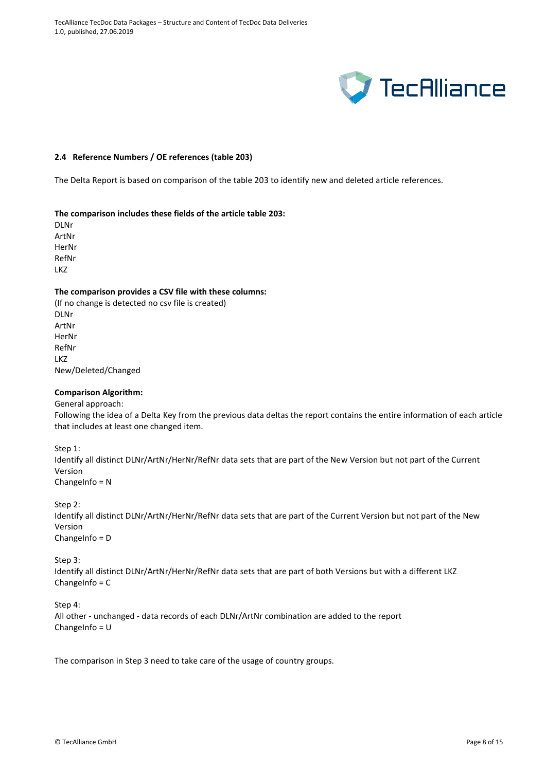

# <span id="page-7-0"></span>**2.4 Reference Numbers / OE references (table 203)**

The Delta Report is based on comparison of the table 203 to identify new and deleted article references.

# **The comparison includes these fields of the article table 203:**

DLNr ArtNr HerNr RefNr LKZ

#### **The comparison provides a CSV file with these columns:**

(If no change is detected no csv file is created) DLNr ArtNr HerNr RefNr LKZ New/Deleted/Changed

# **Comparison Algorithm:**

General approach:

Following the idea of a Delta Key from the previous data deltas the report contains the entire information of each article that includes at least one changed item.

Step 1:

Identify all distinct DLNr/ArtNr/HerNr/RefNr data sets that are part of the New Version but not part of the Current Version ChangeInfo =  $N$ 

Step 2:

Identify all distinct DLNr/ArtNr/HerNr/RefNr data sets that are part of the Current Version but not part of the New Version ChangeInfo = D

Step 3:

Identify all distinct DLNr/ArtNr/HerNr/RefNr data sets that are part of both Versions but with a different LKZ ChangeInfo = C

Step 4: All other - unchanged - data records of each DLNr/ArtNr combination are added to the report ChangeInfo = U

The comparison in Step 3 need to take care of the usage of country groups.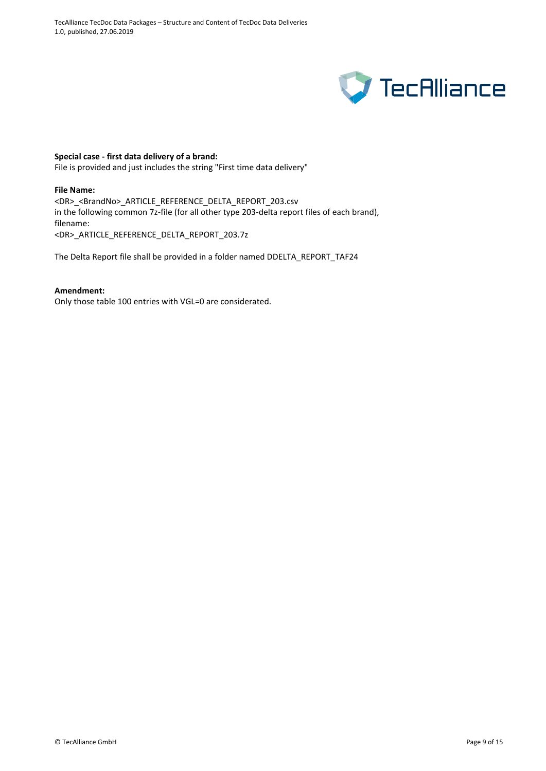

# **Special case - first data delivery of a brand:**

File is provided and just includes the string "First time data delivery"

# **File Name:**

<DR>\_<BrandNo>\_ARTICLE\_REFERENCE\_DELTA\_REPORT\_203.csv in the following common 7z-file (for all other type 203-delta report files of each brand), filename: <DR>\_ARTICLE\_REFERENCE\_DELTA\_REPORT\_203.7z

The Delta Report file shall be provided in a folder named DDELTA\_REPORT\_TAF24

#### **Amendment:**

Only those table 100 entries with VGL=0 are considerated.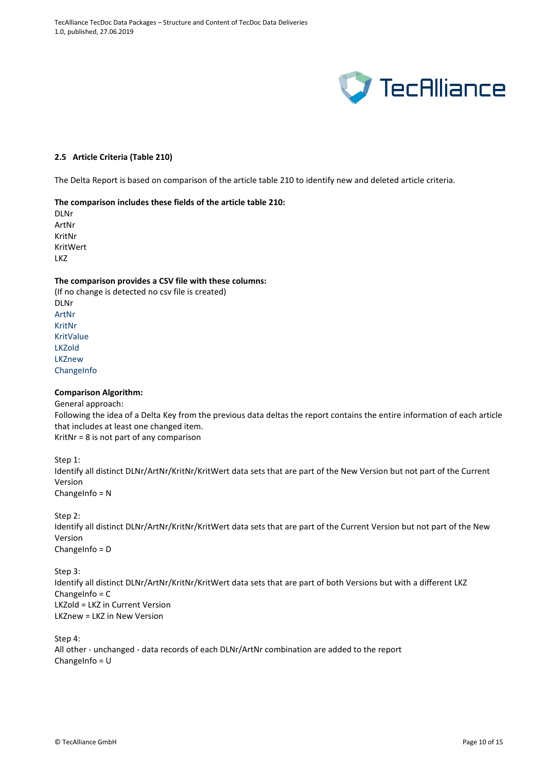TecAlliance TecDoc Data Packages – Structure and Content of TecDoc Data Deliveries 1.0, published, 27.06.2019



# <span id="page-9-0"></span>**2.5 Article Criteria (Table 210)**

The Delta Report is based on comparison of the article table 210 to identify new and deleted article criteria.

#### **The comparison includes these fields of the article table 210:**

DLNr ArtNr KritNr KritWert LKZ

#### **The comparison provides a CSV file with these columns:**

(If no change is detected no csv file is created) DLNr ArtNr KritNr KritValue LKZold LKZnew **ChangeInfo** 

#### **Comparison Algorithm:**

General approach: Following the idea of a Delta Key from the previous data deltas the report contains the entire information of each article that includes at least one changed item. KritNr = 8 is not part of any comparison

Step 1: Identify all distinct DLNr/ArtNr/KritNr/KritWert data sets that are part of the New Version but not part of the Current Version ChangeInfo = N

Step 2:

Identify all distinct DLNr/ArtNr/KritNr/KritWert data sets that are part of the Current Version but not part of the New Version

ChangeInfo = D

Step 3: Identify all distinct DLNr/ArtNr/KritNr/KritWert data sets that are part of both Versions but with a different LKZ ChangeInfo = C LKZold = LKZ in Current Version LKZnew = LKZ in New Version

Step 4: All other - unchanged - data records of each DLNr/ArtNr combination are added to the report ChangeInfo =  $U$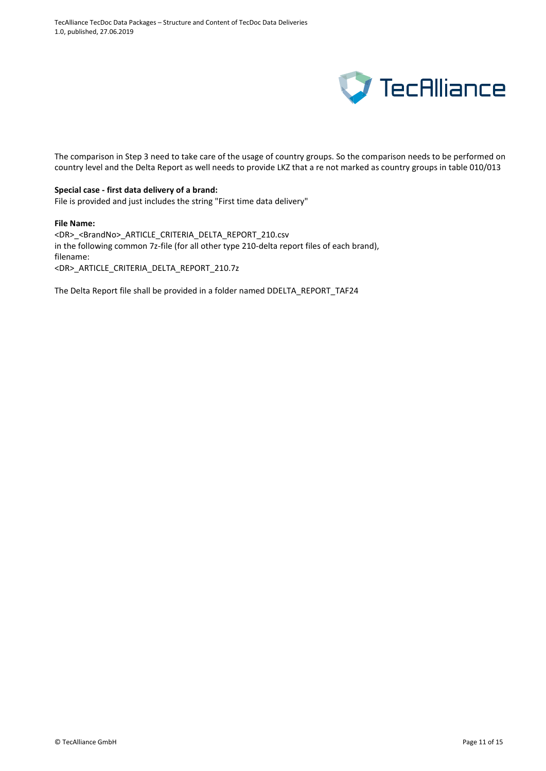

The comparison in Step 3 need to take care of the usage of country groups. So the comparison needs to be performed on country level and the Delta Report as well needs to provide LKZ that a re not marked as country groups in table 010/013

#### **Special case - first data delivery of a brand:**

File is provided and just includes the string "First time data delivery"

#### **File Name:**

<DR>\_<BrandNo>\_ARTICLE\_CRITERIA\_DELTA\_REPORT\_210.csv in the following common 7z-file (for all other type 210-delta report files of each brand), filename: <DR>\_ARTICLE\_CRITERIA\_DELTA\_REPORT\_210.7z

The Delta Report file shall be provided in a folder named DDELTA\_REPORT\_TAF24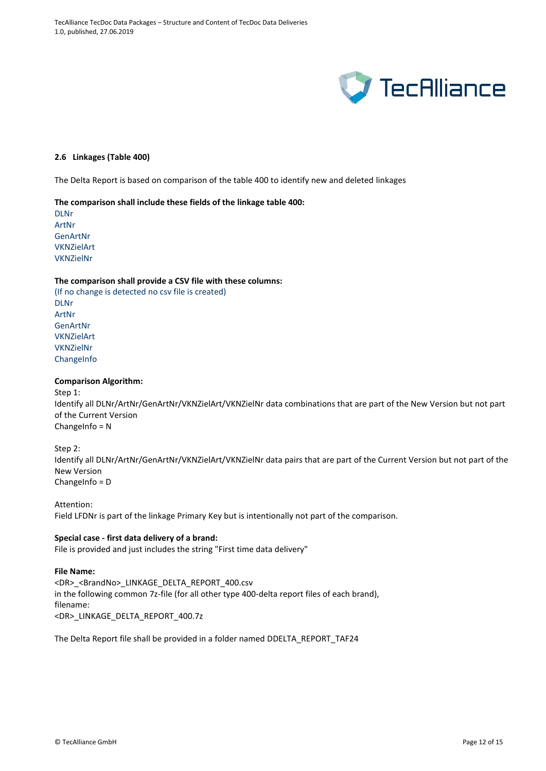

# <span id="page-11-0"></span>**2.6 Linkages (Table 400)**

The Delta Report is based on comparison of the table 400 to identify new and deleted linkages

#### **The comparison shall include these fields of the linkage table 400:**

DLNr ArtNr **GenArtNr** VKNZielArt VKNZielNr

#### **The comparison shall provide a CSV file with these columns:**

(If no change is detected no csv file is created) DLNr ArtNr GenArtNr VKNZielArt VKNZielNr **ChangeInfo** 

#### **Comparison Algorithm:**

Step 1:

Identify all DLNr/ArtNr/GenArtNr/VKNZielArt/VKNZielNr data combinations that are part of the New Version but not part of the Current Version ChangeInfo = N

Step 2: Identify all DLNr/ArtNr/GenArtNr/VKNZielArt/VKNZielNr data pairs that are part of the Current Version but not part of the New Version ChangeInfo = D

#### Attention:

Field LFDNr is part of the linkage Primary Key but is intentionally not part of the comparison.

#### **Special case - first data delivery of a brand:**

File is provided and just includes the string "First time data delivery"

#### **File Name:**

<DR>\_<BrandNo>\_LINKAGE\_DELTA\_REPORT\_400.csv in the following common 7z-file (for all other type 400-delta report files of each brand), filename: <DR>\_LINKAGE\_DELTA\_REPORT\_400.7z

The Delta Report file shall be provided in a folder named DDELTA\_REPORT\_TAF24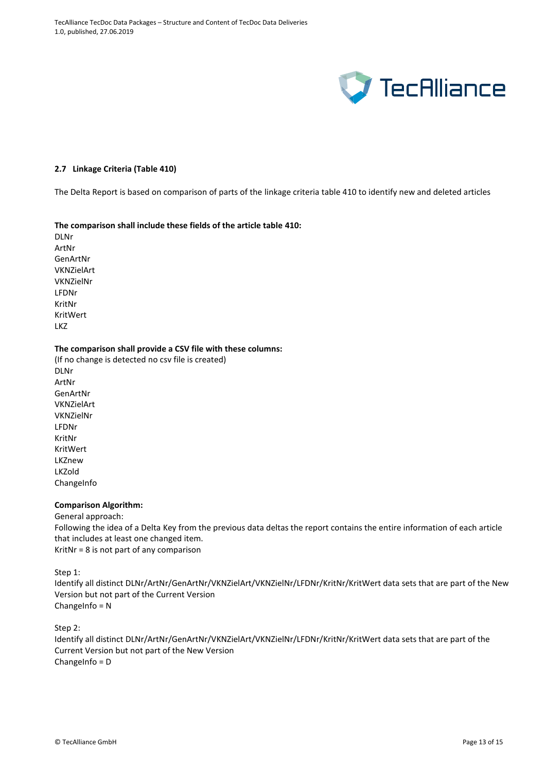

#### <span id="page-12-0"></span>**2.7 Linkage Criteria (Table 410)**

The Delta Report is based on comparison of parts of the linkage criteria table 410 to identify new and deleted articles

#### **The comparison shall include these fields of the article table 410:**

DLNr ArtNr GenArtNr VKNZielArt VKNZielNr LFDNr KritNr KritWert LKZ

#### **The comparison shall provide a CSV file with these columns:**

(If no change is detected no csv file is created) DLNr ArtNr GenArtNr VKNZielArt VKNZielNr LFDNr KritNr KritWert LKZnew LKZold ChangeInfo

# **Comparison Algorithm:**

General approach:

Following the idea of a Delta Key from the previous data deltas the report contains the entire information of each article that includes at least one changed item. KritNr = 8 is not part of any comparison

Step 1:

Identify all distinct DLNr/ArtNr/GenArtNr/VKNZielArt/VKNZielNr/LFDNr/KritNr/KritWert data sets that are part of the New Version but not part of the Current Version ChangeInfo = N

Step 2:

Identify all distinct DLNr/ArtNr/GenArtNr/VKNZielArt/VKNZielNr/LFDNr/KritNr/KritWert data sets that are part of the Current Version but not part of the New Version ChangeInfo = D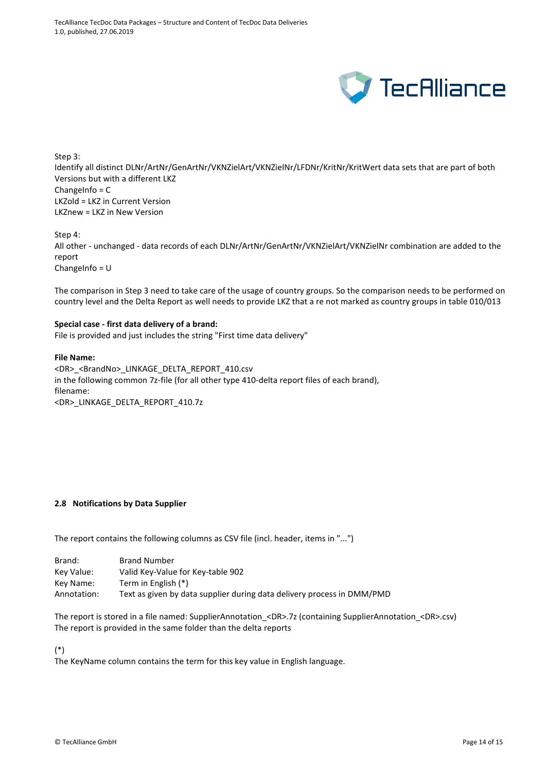

Step 3:

Identify all distinct DLNr/ArtNr/GenArtNr/VKNZielArt/VKNZielNr/LFDNr/KritNr/KritWert data sets that are part of both Versions but with a different LKZ ChangeInfo = C LKZold = LKZ in Current Version LKZnew = LKZ in New Version

Step 4:

All other - unchanged - data records of each DLNr/ArtNr/GenArtNr/VKNZielArt/VKNZielNr combination are added to the report

ChangeInfo = U

The comparison in Step 3 need to take care of the usage of country groups. So the comparison needs to be performed on country level and the Delta Report as well needs to provide LKZ that a re not marked as country groups in table 010/013

# **Special case - first data delivery of a brand:**

File is provided and just includes the string "First time data delivery"

# **File Name:**

<DR>\_<BrandNo>\_LINKAGE\_DELTA\_REPORT\_410.csv in the following common 7z-file (for all other type 410-delta report files of each brand), filename: <DR>\_LINKAGE\_DELTA\_REPORT\_410.7z

# <span id="page-13-0"></span>**2.8 Notifications by Data Supplier**

The report contains the following columns as CSV file (incl. header, items in "...")

| Brand:      | <b>Brand Number</b>                                                    |
|-------------|------------------------------------------------------------------------|
| Key Value:  | Valid Key-Value for Key-table 902                                      |
| Key Name:   | Term in English (*)                                                    |
| Annotation: | Text as given by data supplier during data delivery process in DMM/PMD |

The report is stored in a file named: SupplierAnnotation <DR>.7z (containing SupplierAnnotation <DR>.csv) The report is provided in the same folder than the delta reports

(\*)

The KeyName column contains the term for this key value in English language.